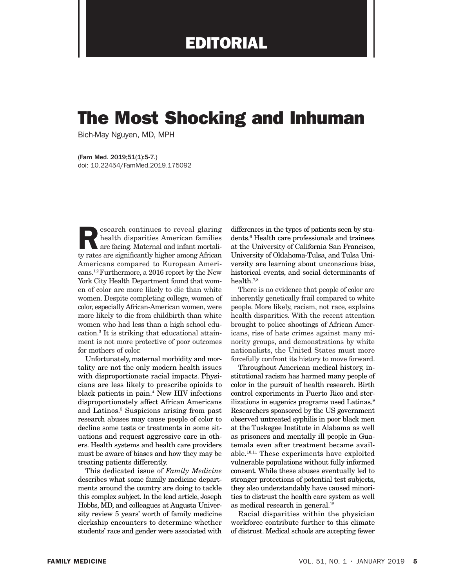## The Most Shocking and Inhuman

Bich-May Nguyen, MD, MPH

(Fam Med. 2019;51(1):5-7.) doi: 10.22454/FamMed.2019.175092

Research continues to reveal glaring<br>health disparities American families<br>are facing. Maternal and infant mortali-<br>ty rates are significantly higher among African health disparities American families are facing. Maternal and infant mortality rates are significantly higher among African Americans compared to European Americans.1,2 Furthermore, a 2016 report by the New York City Health Department found that women of color are more likely to die than white women. Despite completing college, women of color, especially African-American women, were more likely to die from childbirth than white women who had less than a high school education.3 It is striking that educational attainment is not more protective of poor outcomes for mothers of color.

Unfortunately, maternal morbidity and mortality are not the only modern health issues with disproportionate racial impacts. Physicians are less likely to prescribe opioids to black patients in pain.4 New HIV infections disproportionately affect African Americans and Latinos.5 Suspicions arising from past research abuses may cause people of color to decline some tests or treatments in some situations and request aggressive care in others. Health systems and health care providers must be aware of biases and how they may be treating patients differently.

This dedicated issue of *Family Medicine* describes what some family medicine departments around the country are doing to tackle this complex subject. In the lead article, Joseph Hobbs, MD, and colleagues at Augusta University review 5 years' worth of family medicine clerkship encounters to determine whether students' race and gender were associated with

differences in the types of patients seen by students.6 Health care professionals and trainees at the University of California San Francisco, University of Oklahoma-Tulsa, and Tulsa University are learning about unconscious bias, historical events, and social determinants of health.7,8

There is no evidence that people of color are inherently genetically frail compared to white people. More likely, racism, not race, explains health disparities. With the recent attention brought to police shootings of African Americans, rise of hate crimes against many minority groups, and demonstrations by white nationalists, the United States must more forcefully confront its history to move forward.

Throughout American medical history, institutional racism has harmed many people of color in the pursuit of health research. Birth control experiments in Puerto Rico and sterilizations in eugenics programs used Latinas.9 Researchers sponsored by the US government observed untreated syphilis in poor black men at the Tuskegee Institute in Alabama as well as prisoners and mentally ill people in Guatemala even after treatment became available.10,11 These experiments have exploited vulnerable populations without fully informed consent. While these abuses eventually led to stronger protections of potential test subjects, they also understandably have caused minorities to distrust the health care system as well as medical research in general.<sup>12</sup>

Racial disparities within the physician workforce contribute further to this climate of distrust. Medical schools are accepting fewer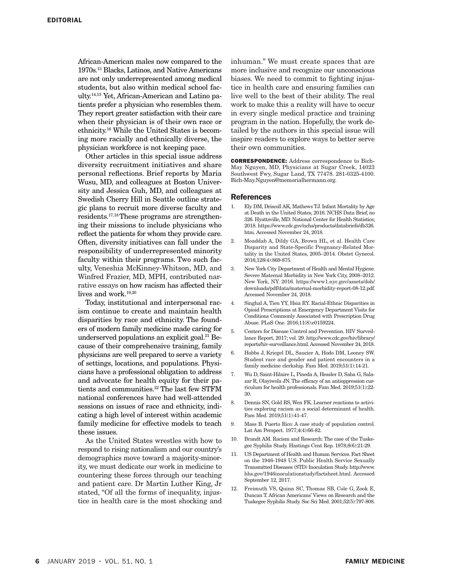African-American males now compared to the 1970s.13 Blacks, Latinos, and Native Americans are not only underrepresented among medical students, but also within medical school faculty.14,15 Yet, African-American and Latino patients prefer a physician who resembles them. They report greater satisfaction with their care when their physician is of their own race or ethnicity.16 While the United States is becoming more racially and ethnically diverse, the physician workforce is not keeping pace.

Other articles in this special issue address diversity recruitment initiatives and share personal reflections. Brief reports by Maria Wusu, MD, and colleagues at Boston University and Jessica Guh, MD, and colleagues at Swedish Cherry Hill in Seattle outline strategic plans to recruit more diverse faculty and residents.17,18 These programs are strengthening their missions to include physicians who reflect the patients for whom they provide care. Often, diversity initiatives can fall under the responsibility of underrepresented minority faculty within their programs. Two such faculty, Veneshia McKinney-Whitson, MD, and Winfred Frazier, MD, MPH, contributed narrative essays on how racism has affected their lives and work.<sup>19,20</sup>

Today, institutional and interpersonal racism continue to create and maintain health disparities by race and ethnicity. The founders of modern family medicine made caring for underserved populations an explicit goal.21 Because of their comprehensive training, family physicians are well prepared to serve a variety of settings, locations, and populations. Physicians have a professional obligation to address and advocate for health equity for their patients and communities.<sup>22</sup> The last few STFM national conferences have had well-attended sessions on issues of race and ethnicity, indicating a high level of interest within academic family medicine for effective models to teach these issues.

As the United States wrestles with how to respond to rising nationalism and our country's demographics move toward a majority-minority, we must dedicate our work in medicine to countering these forces through our teaching and patient care. Dr Martin Luther King, Jr stated, "Of all the forms of inequality, injustice in health care is the most shocking and

inhuman." We must create spaces that are more inclusive and recognize our unconscious biases. We need to commit to fighting injustice in health care and ensuring families can live well to the best of their ability. The real work to make this a reality will have to occur in every single medical practice and training program in the nation. Hopefully, the work detailed by the authors in this special issue will inspire readers to explore ways to better serve their own communities.

CORRESPONDENCE: Address correspondence to Bich-May Nguyen, MD, Physicians at Sugar Creek, 14023 Southwest Fwy, Sugar Land, TX 77478. 281-0325-4100. Bich-May.Nguyen@memorialhermann.org.

## References

- 1. Ely DM, Driscoll AK, Mathews TJ. Infant Mortality by Age at Death in the United States, 2016. NCHS Data Brief, no 326. Hyattsville, MD: National Center for Health Statistics; 2018. https://www.cdc.gov/nchs/products/databriefs/db326. htm. Accessed November 24, 2018.
- 2. Moaddab A, Dildy GA, Brown HL, et al. Health Care Disparity and State-Specific Pregnancy-Related Mortality in the United States, 2005–2014. Obstet Gynecol. 2016;128(4):869-875.
- 3. New York City Department of Health and Mental Hygiene. Severe Maternal Morbidity in New York City, 2008–2012. New York, NY. 2016. https://www1.nyc.gov/assets/doh/ downloads/pdf/data/maternal-morbidity-report-08-12.pdf. Accessed November 24, 2018.
- 4. Singhal A, Tien YY, Hsia RY. Racial-Ethnic Disparities in Opioid Prescriptions at Emergency Department Visits for Conditions Commonly Associated with Prescription Drug Abuse. PLoS One. 2016;11(8):e0159224.
- 5. Centers for Disease Control and Prevention. HIV Surveillance Report, 2017; vol. 29. http://www.cdc.gov/hiv/library/ reports/hiv-surveillance.html. Accessed November 24, 2018.
- 6. Hobbs J, Kriegel DL, Saucier A, Hodo DM, Looney SW. Student race and gender and patient encounters in a family medicine clerkship. Fam Med. 2019;51(1):14-21.
- 7. Wu D, Saint-Hilaire L, Pineda A, Hessler D, Saba G, Salazar R, Olayiwola JN. The efficacy of an antioppression curriculum for health professionals. Fam Med. 2019;51(1):22- 30.
- 8. Dennis SN, Gold RS, Wen FK. Learner reactions to activities exploring racism as a social determinant of health. Fam Med. 2019;51(1):41-47.
- 9. Mass B. Puerto Rico: A case study of population control. Lat Am Perspect. 1977;4(4):66-82.
- 10. Brandt AM. Racism and Research: The case of the Tuskegee Syphilis Study. Hastings Cent Rep. 1978;8(6):21-29.
- 11. US Department of Health and Human Services. Fact Sheet on the 1946-1948 U.S. Public Health Service Sexually Transmitted Diseases (STD) Inoculation Study. http://www. hhs.gov/1946inoculationstudy/factsheet.html. Accessed September 12, 2017.
- 12. Freimuth VS, Quinn SC, Thomas SB, Cole G, Zook E, Duncan T. African Americans' Views on Research and the Tuskegee Syphilis Study. Soc Sci Med. 2001;52(5):797-808.